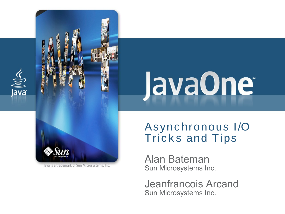

 $\underline{\underline{\underline{\zeta}}}% =\overline{\underline{\zeta}}_{1}^{1}(\zeta_{1},\zeta_{2})$ 

lava<sup>-</sup>

Java is a trademark of Sun Microsystems, Inc.

#### Async hronous I/O **Tricks and Tips**

Alan Bateman Sun Microsystems Inc.

Jeanfrancois Arcand Sun Microsystems Inc.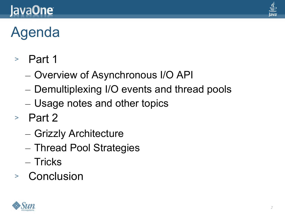#### lava**One**



# Agenda

- <sup>&</sup>gt; Part 1
	- Overview of Asynchronous I/O API
	- Demultiplexing I/O events and thread pools
	- Usage notes and other topics
- <sup>&</sup>gt; Part 2
	- Grizzly Architecture
	- Thread Pool Strategies
	- Tricks
- <sup>&</sup>gt; Conclusion

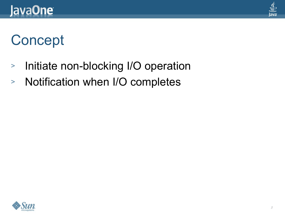

#### **Concept**

- <sup>&</sup>gt; Initiate non-blocking I/O operation
- <sup>&</sup>gt; Notification when I/O completes

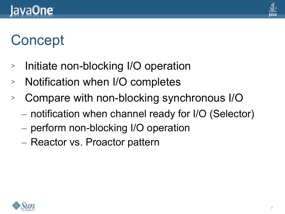

#### **Concept**

- Initiate non-blocking I/O operation
- <sup>&</sup>gt; Notification when I/O completes
- <sup>&</sup>gt; Compare with non-blocking synchronous I/O
	- notification when channel ready for I/O (Selector)
	- perform non-blocking I/O operation
	- Reactor vs. Proactor pattern

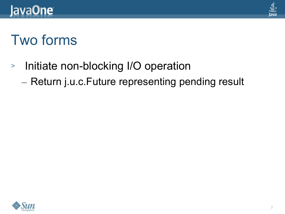

#### Two forms

- <sup>&</sup>gt; Initiate non-blocking I/O operation
	- Return j.u.c.Future representing pending result

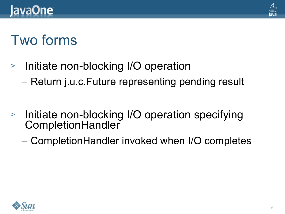

#### Two forms

- <sup>&</sup>gt; Initiate non-blocking I/O operation
	- Return j.u.c.Future representing pending result
- <sup>&</sup>gt; Initiate non-blocking I/O operation specifying **CompletionHandler** 
	- CompletionHandler invoked when I/O completes

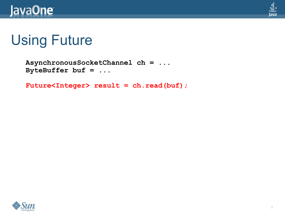



```
AsynchronousSocketChannel ch = ...
ByteBuffer buf = ...
```
Future<Integer> result = ch.read(buf);

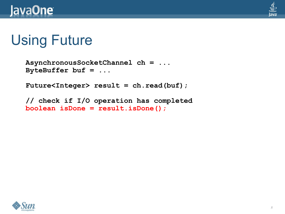

```
AsynchronousSocketChannel ch = ...
ByteBuffer buf = ...
```
**Future<Integer> result = ch.read(buf);**

**// check if I/O operation has completed boolean isDone = result.isDone();**

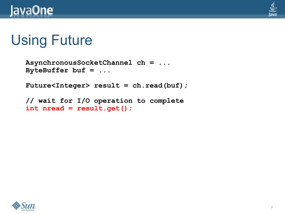

```
AsynchronousSocketChannel ch = ...
ByteBuffer buf = ...
```
**Future<Integer> result = ch.read(buf);**

```
// wait for I/O operation to complete
int nread = result.get();
```
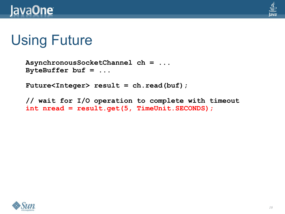

```
AsynchronousSocketChannel ch = ...
ByteBuffer buf = ...
```
**Future<Integer> result = ch.read(buf);**

**// wait for I/O operation to complete with timeout int nread = result.get(5, TimeUnit.SECONDS);**

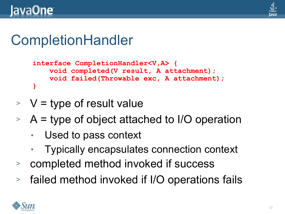

#### **CompletionHandler**

```
interface CompletionHandler<V,A> {
     void completed(V result, A attachment);
     void failed(Throwable exc, A attachment);
}
```
- $>$  V = type of result value
- $\geq$  A = type of object attached to I/O operation
	- Used to pass context
	- Typically encapsulates connection context
- <sup>&</sup>gt; completed method invoked if success
- <sup>&</sup>gt; failed method invoked if I/O operations fails

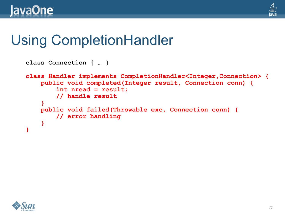

#### Using CompletionHandler

```
class Connection { … }
class Handler implements CompletionHandler<Integer,Connection> {
     public void completed(Integer result, Connection conn) {
         int nread = result;
         // handle result
     }
     public void failed(Throwable exc, Connection conn) {
         // error handling
     }
}
```
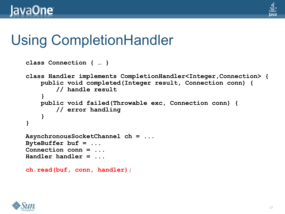

#### Using CompletionHandler

```
class Connection { … }
class Handler implements CompletionHandler<Integer,Connection> {
     public void completed(Integer result, Connection conn) {
         // handle result
 }
    public void failed(Throwable exc, Connection conn) {
         // error handling
     }
}
AsynchronousSocketChannel ch = ...
ByteBuffer buf = ...
Connection conn = ...
Handler handler = ...
ch.read(buf, conn, handler);
```
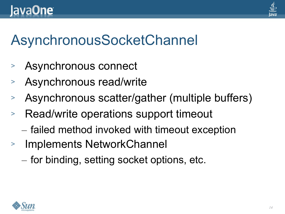

#### AsynchronousSocketChannel

- Asynchronous connect
- Asynchronous read/write
- Asynchronous scatter/gather (multiple buffers)
- <sup>&</sup>gt; Read/write operations support timeout
	- failed method invoked with timeout exception
- <sup>&</sup>gt; Implements NetworkChannel
	- for binding, setting socket options, etc.

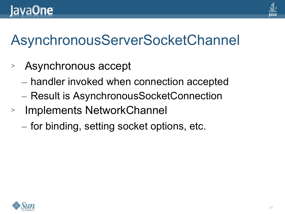

#### AsynchronousServerSocketChannel

- <sup>&</sup>gt; Asynchronous accept
	- handler invoked when connection accepted
	- Result is AsynchronousSocketConnection
- <sup>&</sup>gt; Implements NetworkChannel
	- for binding, setting socket options, etc.

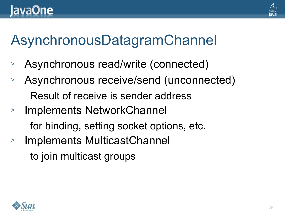

#### AsynchronousDatagramChannel

- Asynchronous read/write (connected)
- Asynchronous receive/send (unconnected)
	- Result of receive is sender address
- <sup>&</sup>gt; Implements NetworkChannel
	- for binding, setting socket options, etc.
- <sup>&</sup>gt; Implements MulticastChannel
	- to join multicast groups

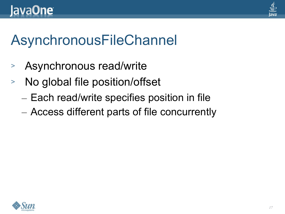

#### AsynchronousFileChannel

- <sup>&</sup>gt; Asynchronous read/write
- <sup>&</sup>gt; No global file position/offset
	- Each read/write specifies position in file
	- Access different parts of file concurrently

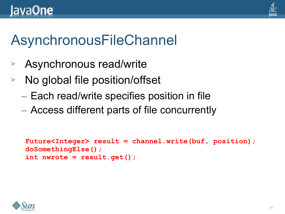

#### AsynchronousFileChannel

- Asynchronous read/write
- No global file position/offset
	- Each read/write specifies position in file
	- Access different parts of file concurrently

```
Future<Integer> result = channel.write(buf, position);
doSomethingElse();
int nwrote = result.get();
```
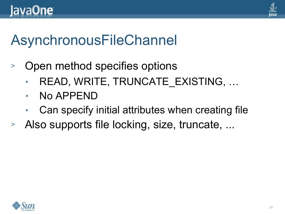

#### AsynchronousFileChannel

- <sup>&</sup>gt; Open method specifies options
	- READ, WRITE, TRUNCATE\_EXISTING, ...
	- No APPEND
	- Can specify initial attributes when creating file
- <sup>&</sup>gt; Also supports file locking, size, truncate, ...

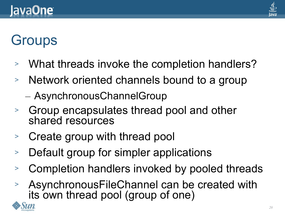

#### **Groups**

- What threads invoke the completion handlers?
- Network oriented channels bound to a group
	- AsynchronousChannelGroup
- <sup>&</sup>gt; Group encapsulates thread pool and other shared resources
- <sup>&</sup>gt; Create group with thread pool
- Default group for simpler applications
- Completion handlers invoked by pooled threads
- <sup>&</sup>gt; AsynchronousFileChannel can be created with its own thread pool (group of one)

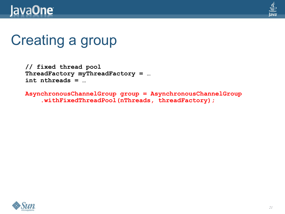#### **JavaOne**



#### Creating a group

**// fixed thread pool ThreadFactory myThreadFactory = … int nthreads = …**

**AsynchronousChannelGroup group = AsynchronousChannelGroup .withFixedThreadPool(nThreads, threadFactory);**

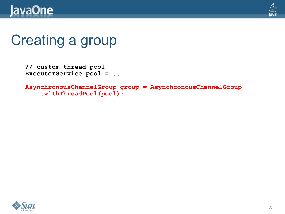



#### Creating a group

```
// custom thread pool
ExecutorService pool = ...
```

```
AsynchronousChannelGroup group = AsynchronousChannelGroup
     .withThreadPool(pool);
```
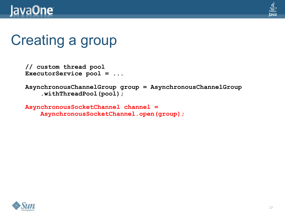

#### Creating a group

```
// custom thread pool
ExecutorService pool = ...
```

```
AsynchronousChannelGroup group = AsynchronousChannelGroup
     .withThreadPool(pool);
```

```
AsynchronousSocketChannel channel =
     AsynchronousSocketChannel.open(group);
```
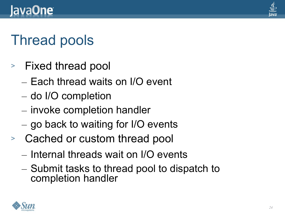

#### Thread pools

- <sup>&</sup>gt; Fixed thread pool
	- Each thread waits on I/O event
	- do I/O completion
	- invoke completion handler
	- go back to waiting for I/O events
- <sup>&</sup>gt; Cached or custom thread pool
	- Internal threads wait on I/O events
	- Submit tasks to thread pool to dispatch to completion handler

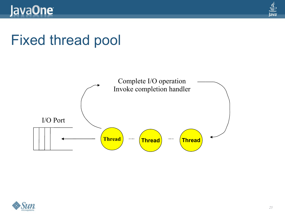

#### Fixed thread pool



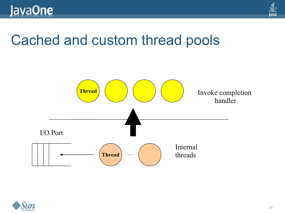

#### Cached and custom thread pools



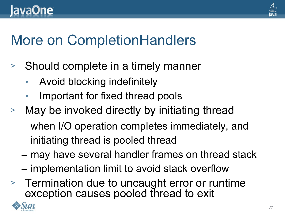

#### More on CompletionHandlers

- <sup>&</sup>gt; Should complete in a timely manner
	- Avoid blocking indefinitely
	- Important for fixed thread pools
- <sup>&</sup>gt; May be invoked directly by initiating thread
	- when I/O operation completes immediately, and
	- initiating thread is pooled thread
	- may have several handler frames on thread stack
	- implementation limit to avoid stack overflow
- <sup>&</sup>gt; Termination due to uncaught error or runtime exception causes pooled thread to exit

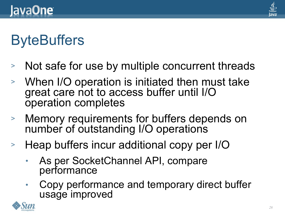

#### **ByteBuffers**

- <sup>&</sup>gt; Not safe for use by multiple concurrent threads
- <sup>&</sup>gt; When I/O operation is initiated then must take great care not to access buffer until I/O operation completes
- <sup>&</sup>gt; Memory requirements for buffers depends on number of outstanding I/O operations
- <sup>&</sup>gt; Heap buffers incur additional copy per I/O
	- As per SocketChannel API, compare performance
	- Copy performance and temporary direct buffer usage improved

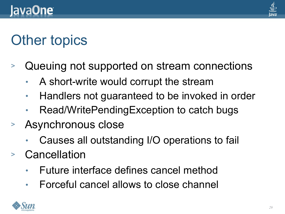

#### Other topics

- <sup>&</sup>gt; Queuing not supported on stream connections
	- A short-write would corrupt the stream
	- Handlers not guaranteed to be invoked in order
	- Read/WritePendingException to catch bugs
- <sup>&</sup>gt; Asynchronous close
	- Causes all outstanding I/O operations to fail
- <sup>&</sup>gt; Cancellation
	- Future interface defines cancel method
	- Forceful cancel allows to close channel

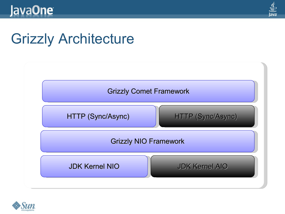

#### Grizzly Architecture



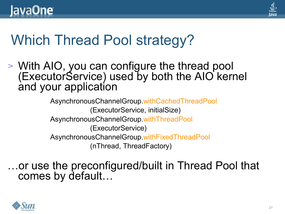

#### Which Thread Pool strategy?

<sup>&</sup>gt; With AIO, you can configure the thread pool (ExecutorService) used by both the AIO kernel and your application

> AsynchronousChannelGroup.withCachedThreadPool (ExecutorService, initialSize) AsynchronousChannelGroup.withThreadPool (ExecutorService) AsynchronousChannelGroup.withFixedThreadPool (nThread, ThreadFactory)

…or use the preconfigured/built in Thread Pool that comes by default…

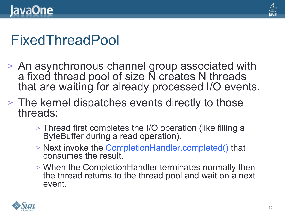

#### FixedThreadPool

- <sup>&</sup>gt; An asynchronous channel group associated with a fixed thread pool of size N creates N threads that are waiting for already processed I/O events.
- <sup>&</sup>gt; The kernel dispatches events directly to those threads:
	- <sup>&</sup>gt; Thread first completes the I/O operation (like filling a ByteBuffer during a read operation).
	- <sup>&</sup>gt; Next invoke the CompletionHandler.completed() that consumes the result.
	- <sup>&</sup>gt; When the CompletionHandler terminates normally then the thread returns to the thread pool and wait on a next event.

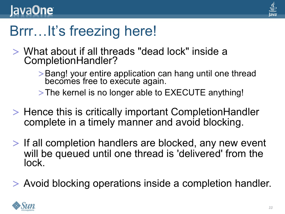

### Brrr…It's freezing here!

- > What about if all threads "dead lock" inside a CompletionHandler?
	- >Bang! your entire application can hang until one thread<br>becomes free to execute again.

> The kernel is no longer able to EXECUTE anything!

- > Hence this is critically important CompletionHandler complete in a timely manner and avoid blocking.
- > If all completion handlers are blocked, any new event will be queued until one thread is 'delivered' from the lock.
- > Avoid blocking operations inside a completion handler.

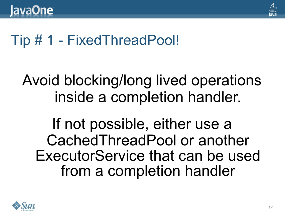

#### Tip # 1 - FixedThreadPool!

#### Avoid blocking/long lived operations inside a completion handler.

If not possible, either use a Cached Thread Pool or another ExecutorService that can be used from a completion handler

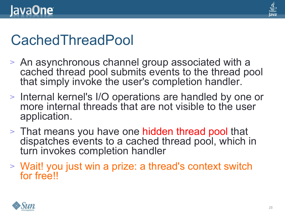

#### **CachedThreadPool**

- <sup>&</sup>gt; An asynchronous channel group associated with a cached thread pool submits events to the thread pool that simply invoke the user's completion handler.
- <sup>&</sup>gt; Internal kernel's I/O operations are handled by one or more internal threads that are not visible to the user application.
- <sup>&</sup>gt; That means you have one hidden thread pool that dispatches events to a cached thread pool, which in turn invokes completion handler
- <sup>&</sup>gt; Wait! you just win a prize: a thread's context switch for free!!

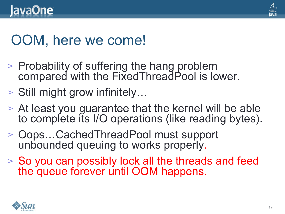

#### OOM, here we come!

- <sup>&</sup>gt; Probability of suffering the hang problem compared with the FixedThreadPool is lower.
- <sup>&</sup>gt; Still might grow infinitely…
- <sup>&</sup>gt; At least you guarantee that the kernel will be able to complete its I/O operations (like reading bytes).
- <sup>&</sup>gt; Oops…CachedThreadPool must support unbounded queuing to works properly.
- <sup>&</sup>gt; So you can possibly lock all the threads and feed the queue forever until OOM happens. nobody will ever do that!

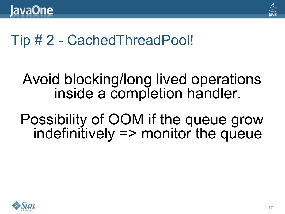

#### Tip # 2 - CachedThreadPool!

#### Avoid blocking/long lived operations inside a completion handler.

Possibility of OOM if the queue grow  $indefinitely \Rightarrow monitor the queue$ 

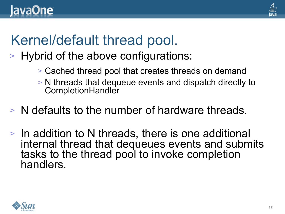

#### Kernel/default thread pool.

- <sup>&</sup>gt; Hybrid of the above configurations:
	- <sup>&</sup>gt; Cached thread pool that creates threads on demand
	- <sup>&</sup>gt; N threads that dequeue events and dispatch directly to **CompletionHandler**
- <sup>&</sup>gt; N defaults to the number of hardware threads.
- <sup>&</sup>gt; In addition to N threads, there is one additional internal thread that dequeues events and submits tasks to the thread pool to invoke completion handlers.

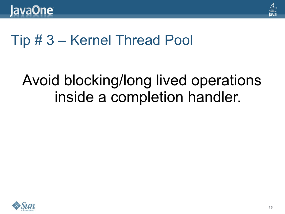

#### Tip # 3 – Kernel Thread Pool

#### Avoid blocking/long lived operations inside a completion handler.

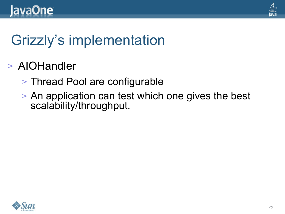

# Grizzly's implementation

- <sup>&</sup>gt; AIOHandler
	- <sup>&</sup>gt; Thread Pool are configurable
	- <sup>&</sup>gt; An application can test which one gives the best scalability/throughput.

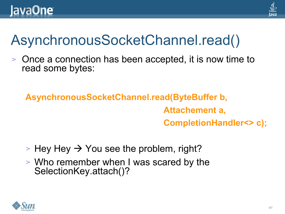

# AsynchronousSocketChannel.read()

Once a connection has been accepted, it is now time to read some bytes:

**AsynchronousSocketChannel.read(ByteBuffer b, Attachement a, CompletionHandler<> c);**

- $>$  Hey Hey  $\rightarrow$  You see the problem, right?
- <sup>&</sup>gt; Who remember when I was scared by the SelectionKey.attach()?

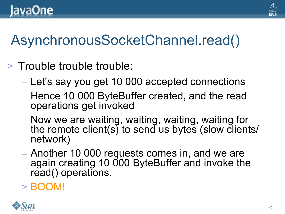

#### lava**One**

# AsynchronousSocketChannel.read()

- <sup>&</sup>gt; Trouble trouble trouble:
	- Let's say you get 10 000 accepted connections
	- Hence 10 000 ByteBuffer created, and the read operations get invoked
	- Now we are waiting, waiting, waiting, waiting for the remote client(s) to send us bytes (slow clients/ network)
	- Another 10 000 requests comes in, and we are again creating 10 000 ByteBuffer and invoke the read() operations.
	- <sup>&</sup>gt; BOOM!

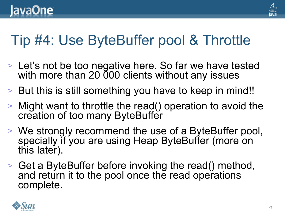

#### Tip #4: Use ByteBuffer pool & Throttle

- <sup>&</sup>gt; Let's not be too negative here. So far we have tested with more than 20 000 clients without any issues
- <sup>&</sup>gt; But this is still something you have to keep in mind!!
- <sup>&</sup>gt; Might want to throttle the read() operation to avoid the creation of too many ByteBuffer
- <sup>&</sup>gt; We strongly recommend the use of a ByteBuffer pool, specially if you are using Heap ByteBuffer (more on this later).
- <sup>&</sup>gt; Get a ByteBuffer before invoking the read() method, and return it to the pool once the read operations complete.

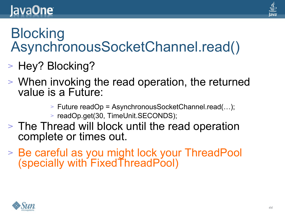#### lava**One**

#### **Blocking** AsynchronousSocketChannel.read()

- <sup>&</sup>gt; Hey? Blocking?
- <sup>&</sup>gt; When invoking the read operation, the returned value is a Future:
	- <sup>&</sup>gt; Future readOp = AsynchronousSocketChannel.read(…);
	- <sup>&</sup>gt; readOp.get(30, TimeUnit.SECONDS);
- <sup>&</sup>gt; The Thread will block until the read operation complete or times out.
- <sup>&</sup>gt; Be careful as you might lock your ThreadPool (specially with FixedThreadPool)

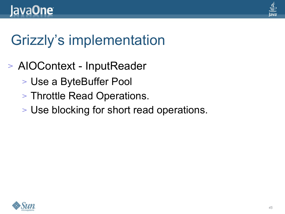

# Grizzly's implementation

- <sup>&</sup>gt; AIOContext InputReader
	- <sup>&</sup>gt; Use a ByteBuffer Pool
	- <sup>&</sup>gt; Throttle Read Operations.
	- <sup>&</sup>gt; Use blocking for short read operations.

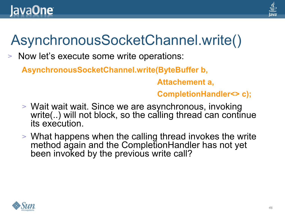

#### AsynchronousSocketChannel.write()

<sup>&</sup>gt; Now let's execute some write operations:

**AsynchronousSocketChannel.write(ByteBuffer b,**

 **Attachement a,**

#### **CompletionHandler<> c);**

- <sup>&</sup>gt; Wait wait wait. Since we are asynchronous, invoking write(..) will not block, so the calling thread can continue its execution.
- <sup>&</sup>gt; What happens when the calling thread invokes the write method again and the CompletionHandler has not yet been invoked by the previous write call?

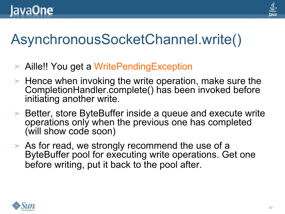

#### AsynchronousSocketChannel.write()

- Aille!! You get a WritePendingException
- <sup>&</sup>gt; Hence when invoking the write operation, make sure the CompletionHandler.complete() has been invoked before initiating another write.
- <sup>&</sup>gt; Better, store ByteBuffer inside a queue and execute write operations only when the previous one has completed (will show code soon)
- <sup>&</sup>gt; As for read, we strongly recommend the use of a ByteBuffer pool for executing write operations. Get one before writing, put it back to the pool after.

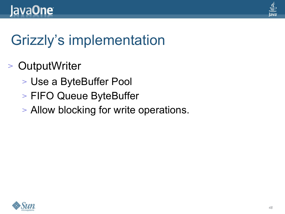

# Grizzly's implementation

- <sup>&</sup>gt; OutputWriter
	- <sup>&</sup>gt; Use a ByteBuffer Pool
	- <sup>&</sup>gt; FIFO Queue ByteBuffer
	- <sup>&</sup>gt; Allow blocking for write operations.

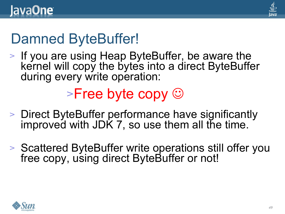

### Damned ByteBuffer!

<sup>&</sup>gt; If you are using Heap ByteBuffer, be aware the kernel will copy the bytes into a direct ByteBuffer during every write operation:

#### $\triangleright$ Free byte copy  $\odot$

- <sup>&</sup>gt; Direct ByteBuffer performance have significantly improved with JDK 7, so use them all the time.
- <sup>&</sup>gt; Scattered ByteBuffer write operations still offer you free copy, using direct ByteBuffer or not!

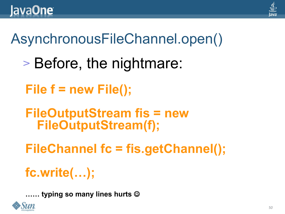

#### AsynchronousFileChannel.open()

- <sup>&</sup>gt; Before, the nightmare:
- **File f = new File();**
- **FileOutputStream fis = new FileOutputStream(f);**
- **FileChannel fc = fis.getChannel();**

#### **fc.write(…);**

**…… typing so many lines hurts** 

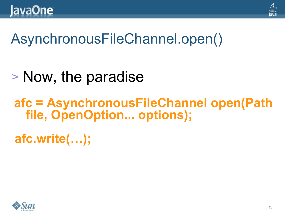

#### AsynchronousFileChannel.open()

# <sup>&</sup>gt; Now, the paradise

#### **afc = AsynchronousFileChannel open(Path file, OpenOption... options);**

**afc.write(…);**

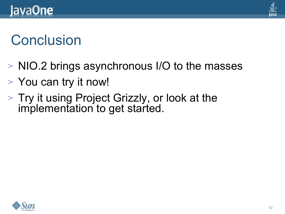

#### **Conclusion**

- <sup>&</sup>gt; NIO.2 brings asynchronous I/O to the masses
- <sup>&</sup>gt; You can try it now!
- <sup>&</sup>gt; Try it using Project Grizzly, or look at the implementation to get started.

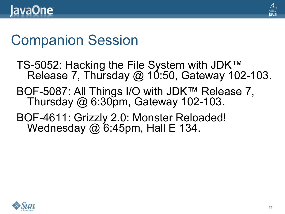

#### Companion Session

- TS-5052: Hacking the File System with JDK™ Release 7, Thursday  $@$  10:50, Gateway 102-103.
- BOF-5087: All Things I/O with JDK™ Release 7, Thursday  $@6:30p$ m, Gateway 102-103.
- BOF-4611: Grizzly 2.0: Monster Reloaded! Wednesday  $\omega$  6:45pm, Hall E 134.

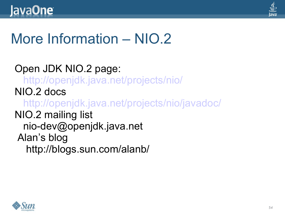

#### More Information – NIO.2

Open JDK NIO.2 page: <http://openjdk.java.net/projects/nio/> NIO.2 docs <http://openjdk.java.net/projects/nio/javadoc/> NIO.2 mailing list nio-dev@openjdk.java.net Alan's blog http://blogs.sun.com/alanb/

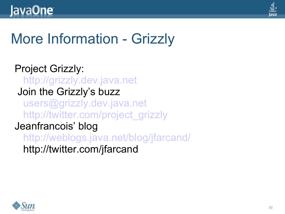

#### More Information - Grizzly

Project Grizzly:  [http://grizzly.dev.java.net](http://grizzly.dev.java.net/) Join the Grizzly's buzz [users@grizzly.dev.java.net](mailto:users@grizzly.dev.java.net) [http://twitter.com/project\\_grizzly](http://twitter.com/project_grizzly) Jeanfrancois' blog <http://weblogs.java.net/blog/jfarcand/> http://twitter.com/jfarcand

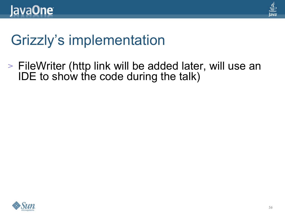

#### Grizzly's implementation

<sup>&</sup>gt; FileWriter (http link will be added later, will use an IDE to show the code during the talk)